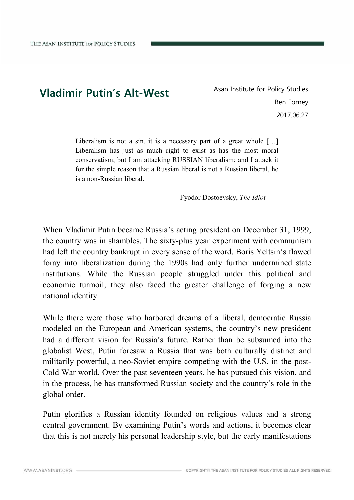## **Vladimir Putin's Alt-West** Asan Institute for Policy Studies

Ben Forney 2017.06.27

Liberalism is not a sin, it is a necessary part of a great whole [...] Liberalism has just as much right to exist as has the most moral conservatism; but I am attacking RUSSIAN liberalism; and I attack it for the simple reason that a Russian liberal is not a Russian liberal, he is a non-Russian liberal.

Fyodor Dostoevsky, *The Idiot*

When Vladimir Putin became Russia's acting president on December 31, 1999, the country was in shambles. The sixty-plus year experiment with communism had left the country bankrupt in every sense of the word. Boris Yeltsin's flawed foray into liberalization during the 1990s had only further undermined state institutions. While the Russian people struggled under this political and economic turmoil, they also faced the greater challenge of forging a new national identity.

While there were those who harbored dreams of a liberal, democratic Russia modeled on the European and American systems, the country's new president had a different vision for Russia's future. Rather than be subsumed into the globalist West, Putin foresaw a Russia that was both culturally distinct and militarily powerful, a neo-Soviet empire competing with the U.S. in the post- Cold War world. Over the past seventeen years, he has pursued this vision, and in the process, he has transformed Russian society and the country's role in the global order.

Putin glorifies a Russian identity founded on religious values and a strong central government. By examining Putin's words and actions, it becomes clear that this is not merely his personal leadership style, but the early manifestations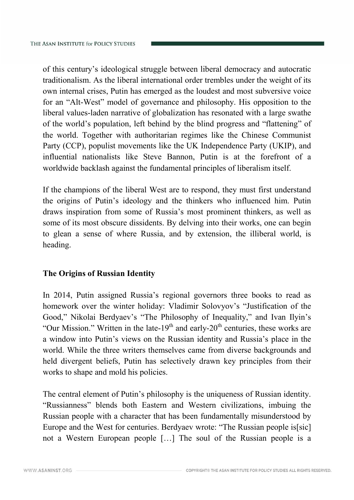of this century's ideological struggle between liberal democracy and autocratic traditionalism. As the liberal international order trembles under the weight of its own internal crises, Putin has emerged as the loudest and most subversive voice for an "Alt-West" model of governance and philosophy. His opposition to the liberal values-laden narrative of globalization has resonated with a large swathe of the world's population, left behind by the blind progress and "flattening" of the world. Together with authoritarian regimes like the Chinese Communist Party (CCP), populist movements like the UK Independence Party (UKIP), and influential nationalists like Steve Bannon, Putin is at the forefront of a worldwide backlash against the fundamental principles of liberalism itself.

If the champions of the liberal West are to respond, they must first understand the origins of Putin's ideology and the thinkers who influenced him. Putin draws inspiration from some of Russia's most prominent thinkers, as well as some of its most obscure dissidents. By delving into their works, one can begin to glean a sense of where Russia, and by extension, the illiberal world, is heading.

## **The Origins of Russian Identity**

In 2014, Putin assigned Russia's regional governors three books to read as homework over the winter holiday: Vladimir Solovyov's "Justification of the Good," Nikolai Berdyaev's "The Philosophy of Inequality," and Ivan Ilyin's "Our Mission." Written in the late-19<sup>th</sup> and early-20<sup>th</sup> centuries, these works are a window into Putin's views on the Russian identity and Russia's place in the world. While the three writers themselves came from diverse backgrounds and held divergent beliefs, Putin has selectively drawn key principles from their works to shape and mold his policies.

The central element of Putin's philosophy is the uniqueness of Russian identity. "Russianness" blends both Eastern and Western civilizations, imbuing the Russian people with a character that has been fundamentally misunderstood by Europe and the West for centuries. Berdyaev wrote: "The Russian people is[sic] not a Western European people […] The soul of the Russian people is a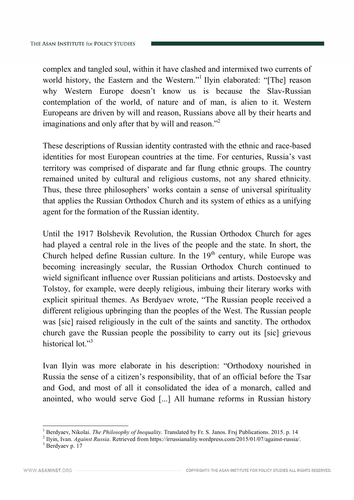complex and tangled soul, within it have clashed and intermixed two currents of world history, the Eastern and the Western." Ilyin elaborated: "[The] reason why Western Europe doesn't know us is because the Slav-Russian contemplation of the world, of nature and of man, is alien to it. Western Europeans are driven by will and reason, Russians above all by their hearts and imaginations and only after that by will and reason."<sup>2</sup>

These descriptions of Russian identity contrasted with the ethnic and race-based identities for most European countries at the time. For centuries, Russia's vast territory was comprised of disparate and far flung ethnic groups. The country remained united by cultural and religious customs, not any shared ethnicity. Thus, these three philosophers' works contain a sense of universal spirituality that applies the Russian Orthodox Church and its system of ethics as a unifying agent for the formation of the Russian identity.

Until the 1917 Bolshevik Revolution, the Russian Orthodox Church for ages had played a central role in the lives of the people and the state. In short, the Church helped define Russian culture. In the  $19<sup>th</sup>$  century, while Europe was becoming increasingly secular, the Russian Orthodox Church continued to wield significant influence over Russian politicians and artists. Dostoevsky and Tolstoy, for example, were deeply religious, imbuing their literary works with explicit spiritual themes. As Berdyaev wrote, "The Russian people received a different religious upbringing than the peoples of the West. The Russian people was [sic] raised religiously in the cult of the saints and sanctity. The orthodox church gave the Russian people the possibility to carry out its [sic] grievous historical lot."<sup>3</sup>

Ivan Ilyin was more elaborate in his description: "Orthodoxy nourished in Russia the sense of a citizen's responsibility, that of an official before the Tsar and God, and most of all it consolidated the idea of a monarch, called and anointed, who would serve God [...] All humane reforms in Russian history

<sup>1</sup> Berdyaev, Nikolai. *The Philosophy of Inequality*. Translated by Fr. S. Janos. Frsj Publications. 2015. p. 14

<sup>2</sup> Ilyin, Ivan. *Against Russia*. Retrieved from https://irrussianality.wordpress.com/2015/01/07/against-russia/.

<sup>&</sup>lt;sup>3</sup> Berdyaev p. 17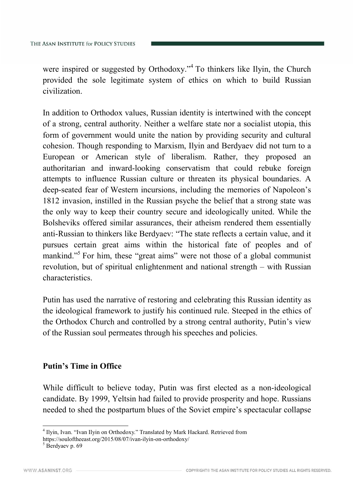were inspired or suggested by Orthodoxy."<sup>4</sup> To thinkers like Ilyin, the Church provided the sole legitimate system of ethics on which to build Russian civilization.

In addition to Orthodox values, Russian identity is intertwined with the concept of a strong, central authority. Neither a welfare state nor a socialist utopia, this form of government would unite the nation by providing security and cultural cohesion. Though responding to Marxism, Ilyin and Berdyaev did not turn to a European or American style of liberalism. Rather, they proposed an authoritarian and inward-looking conservatism that could rebuke foreign attempts to influence Russian culture or threaten its physical boundaries. A deep-seated fear of Western incursions, including the memories of Napoleon's 1812 invasion, instilled in the Russian psyche the belief that a strong state was the only way to keep their country secure and ideologically united. While the Bolsheviks offered similar assurances, their atheism rendered them essentially anti-Russian to thinkers like Berdyaev: "The state reflects a certain value, and it pursues certain great aims within the historical fate of peoples and of mankind."<sup>5</sup> For him, these "great aims" were not those of a global communist revolution, but of spiritual enlightenment and national strength – with Russian characteristics.

Putin has used the narrative of restoring and celebrating this Russian identity as the ideological framework to justify his continued rule. Steeped in the ethics of the Orthodox Church and controlled by a strong central authority, Putin's view of the Russian soul permeates through his speeches and policies.

## **Putin's Time in Office**

While difficult to believe today, Putin was first elected as a non-ideological candidate. By 1999, Yeltsin had failed to provide prosperity and hope. Russians needed to shed the postpartum blues of the Soviet empire's spectacular collapse

https://souloftheeast.org/2015/08/07/ivan-ilyin-on-orthodoxy/ <sup>5</sup> Berdyaev p. 69

<sup>&</sup>lt;sup>4</sup> Ilyin, Ivan. "Ivan Ilyin on Orthodoxy." Translated by Mark Hackard. Retrieved from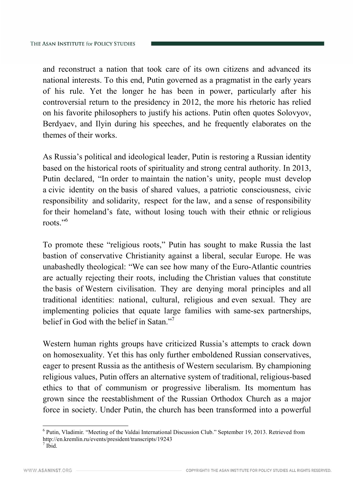and reconstruct a nation that took care of its own citizens and advanced its national interests. To this end, Putin governed as a pragmatist in the early years of his rule. Yet the longer he has been in power, particularly after his controversial return to the presidency in 2012, the more his rhetoric has relied on his favorite philosophers to justify his actions. Putin often quotes Solovyov, Berdyaev, and Ilyin during his speeches, and he frequently elaborates on the themes of their works.

As Russia's political and ideological leader, Putin is restoring a Russian identity based on the historical roots of spirituality and strong central authority. In 2013, Putin declared, "In order to maintain the nation's unity, people must develop a civic identity on the basis of shared values, a patriotic consciousness, civic responsibility and solidarity, respect for the law, and a sense of responsibility for their homeland's fate, without losing touch with their ethnic or religious roots."<sup>6</sup>

To promote these "religious roots," Putin has sought to make Russia the last bastion of conservative Christianity against a liberal, secular Europe. He was unabashedly theological: "We can see how many of the Euro-Atlantic countries are actually rejecting their roots, including the Christian values that constitute the basis of Western civilisation. They are denying moral principles and all traditional identities: national, cultural, religious and even sexual. They are implementing policies that equate large families with same-sex partnerships, belief in God with the belief in Satan."<sup>7</sup>

Western human rights groups have criticized Russia's attempts to crack down on homosexuality. Yet this has only further emboldened Russian conservatives, eager to present Russia as the antithesis of Western secularism. By championing religious values, Putin offers an alternative system of traditional, religious-based ethics to that of communism or progressive liberalism. Its momentum has grown since the reestablishment of the Russian Orthodox Church as a major force in society. Under Putin, the church has been transformed into a powerful

<sup>6</sup> Putin, Vladimir. "Meeting of the Valdai International Discussion Club." September 19, 2013. Retrieved from http://en.kremlin.ru/events/president/transcripts/19243

Ibid.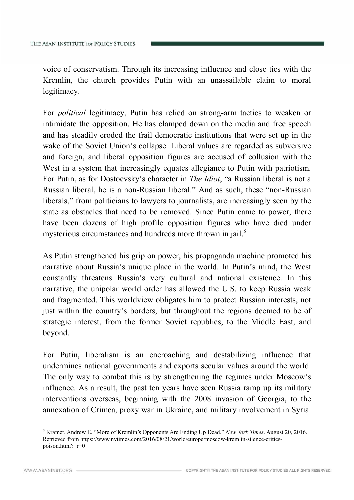voice of conservatism. Through its increasing influence and close ties with the Kremlin, the church provides Putin with an unassailable claim to moral legitimacy.

For *political* legitimacy, Putin has relied on strong-arm tactics to weaken or intimidate the opposition. He has clamped down on the media and free speech and has steadily eroded the frail democratic institutions that were set up in the wake of the Soviet Union's collapse. Liberal values are regarded as subversive and foreign, and liberal opposition figures are accused of collusion with the West in a system that increasingly equates allegiance to Putin with patriotism. For Putin, as for Dostoevsky's character in *The Idiot*, "a Russian liberal is not a Russian liberal, he is a non-Russian liberal." And as such, these "non-Russian liberals," from politicians to lawyers to journalists, are increasingly seen by the state as obstacles that need to be removed. Since Putin came to power, there have been dozens of high profile opposition figures who have died under mysterious circumstances and hundreds more thrown in jail.<sup>8</sup>

As Putin strengthened his grip on power, his propaganda machine promoted his narrative about Russia's unique place in the world. In Putin's mind, the West constantly threatens Russia's very cultural and national existence. In this narrative, the unipolar world order has allowed the U.S. to keep Russia weak and fragmented. This worldview obligates him to protect Russian interests, not just within the country's borders, but throughout the regions deemed to be of strategic interest, from the former Soviet republics, to the Middle East, and beyond.

For Putin, liberalism is an encroaching and destabilizing influence that undermines national governments and exports secular values around the world. The only way to combat this is by strengthening the regimes under Moscow's influence. As a result, the past ten years have seen Russia ramp up its military interventions overseas, beginning with the 2008 invasion of Georgia, to the annexation of Crimea, proxy war in Ukraine, and military involvement in Syria.

<sup>8</sup> Kramer, Andrew E. "More of Kremlin's Opponents Are Ending Up Dead." *New York Times*. August 20, 2016. Retrieved from https://www.nytimes.com/2016/08/21/world/europe/moscow-kremlin-silence-critics poison.html? $r=0$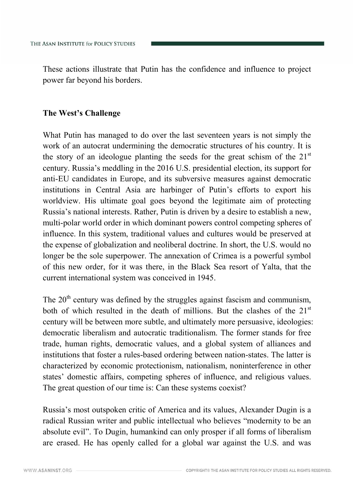These actions illustrate that Putin has the confidence and influence to project power far beyond his borders.

## **The West's Challenge**

What Putin has managed to do over the last seventeen years is not simply the work of an autocrat undermining the democratic structures of his country. It is the story of an ideologue planting the seeds for the great schism of the  $21<sup>st</sup>$ century. Russia's meddling in the 2016 U.S. presidential election, its support for anti-EU candidates in Europe, and its subversive measures against democratic institutions in Central Asia are harbinger of Putin's efforts to export his worldview. His ultimate goal goes beyond the legitimate aim of protecting Russia's national interests. Rather, Putin is driven by a desire to establish a new, multi-polar world order in which dominant powers control competing spheres of influence. In this system, traditional values and cultures would be preserved at the expense of globalization and neoliberal doctrine. In short, the U.S. would no longer be the sole superpower. The annexation of Crimea is a powerful symbol of this new order, for it was there, in the Black Sea resort of Yalta, that the current international system was conceived in 1945.

The  $20<sup>th</sup>$  century was defined by the struggles against fascism and communism, both of which resulted in the death of millions. But the clashes of the  $21<sup>st</sup>$ century will be between more subtle, and ultimately more persuasive, ideologies: democratic liberalism and autocratic traditionalism. The former stands for free trade, human rights, democratic values, and a global system of alliances and institutions that foster a rules-based ordering between nation-states. The latter is characterized by economic protectionism, nationalism, noninterference in other states' domestic affairs, competing spheres of influence, and religious values. The great question of our time is: Can these systems coexist?

Russia's most outspoken critic of America and its values, Alexander Dugin is a radical Russian writer and public intellectual who believes "modernity to be an absolute evil". To Dugin, humankind can only prosper if all forms of liberalism are erased. He has openly called for a global war against the U.S. and was